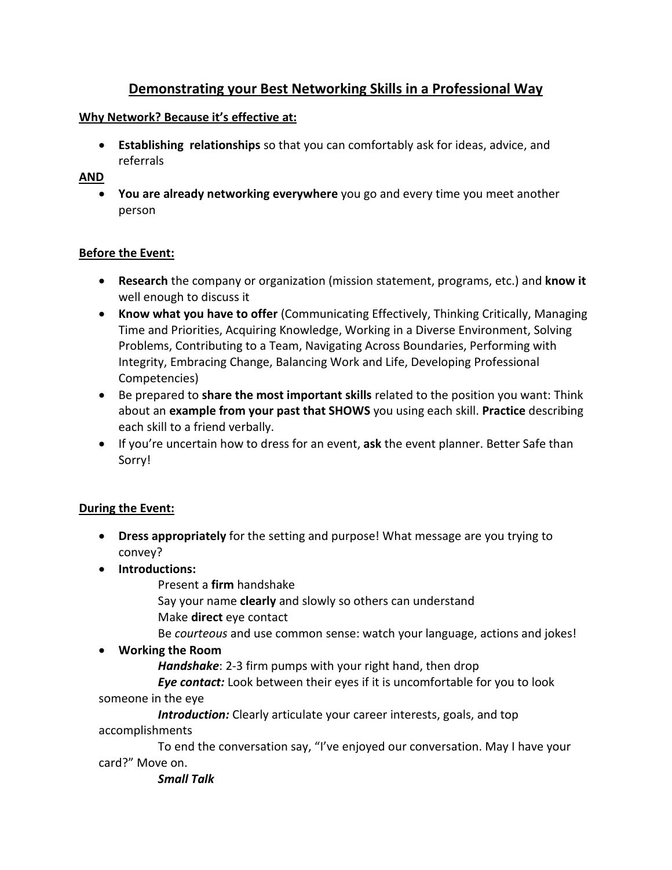# **Demonstrating your Best Networking Skills in a Professional Way**

# **Why Network? Because it's effective at:**

• **Establishing relationships** so that you can comfortably ask for ideas, advice, and referrals

## **AND**

• **You are already networking everywhere** you go and every time you meet another person

# **Before the Event:**

- **Research** the company or organization (mission statement, programs, etc.) and **know it** well enough to discuss it
- **Know what you have to offer** (Communicating Effectively, Thinking Critically, Managing Time and Priorities, Acquiring Knowledge, Working in a Diverse Environment, Solving Problems, Contributing to a Team, Navigating Across Boundaries, Performing with Integrity, Embracing Change, Balancing Work and Life, Developing Professional Competencies)
- Be prepared to **share the most important skills** related to the position you want: Think about an **example from your past that SHOWS** you using each skill. **Practice** describing each skill to a friend verbally.
- If you're uncertain how to dress for an event, **ask** the event planner. Better Safe than Sorry!

#### **During the Event:**

- **Dress appropriately** for the setting and purpose! What message are you trying to convey?
- **Introductions:** 
	- Present a **firm** handshake
	- Say your name **clearly** and slowly so others can understand Make **direct** eye contact
	- Be *courteous* and use common sense: watch your language, actions and jokes!
- **Working the Room**

*Handshake*: 2-3 firm pumps with your right hand, then drop

*Eye contact:* Look between their eyes if it is uncomfortable for you to look someone in the eye

*Introduction:* Clearly articulate your career interests, goals, and top accomplishments

To end the conversation say, "I've enjoyed our conversation. May I have your card?" Move on.

*Small Talk*